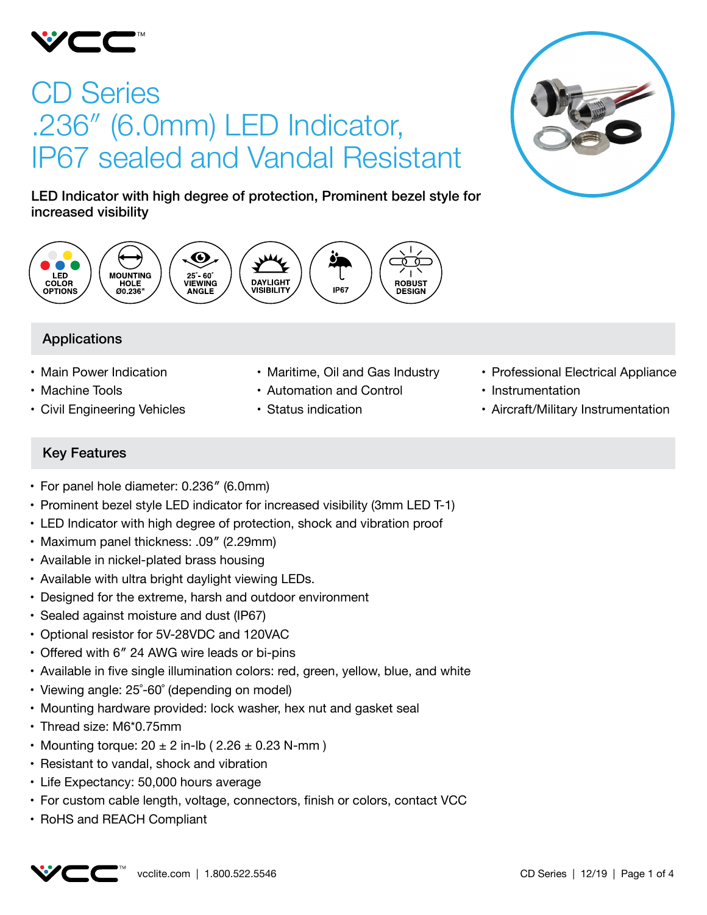

# CD Series .236″ (6.0mm) LED Indicator, IP67 sealed and Vandal Resistant



LED Indicator with high degree of protection, Prominent bezel style for increased visibility



# Applications

- Main Power Indication
- Machine Tools
- • Civil Engineering Vehicles
- Maritime, Oil and Gas Industry
- • Automation and Control
- • Status indication
- Professional Electrical Appliance
- Instrumentation
- Aircraft/Military Instrumentation

# Key Features

- For panel hole diameter: 0.236" (6.0mm)
- Prominent bezel style LED indicator for increased visibility (3mm LED T-1)
- LED Indicator with high degree of protection, shock and vibration proof
- Maximum panel thickness: .09" (2.29mm)
- Available in nickel-plated brass housing
- Available with ultra bright daylight viewing LEDs.
- Designed for the extreme, harsh and outdoor environment
- Sealed against moisture and dust (IP67)
- • Optional resistor for 5V-28VDC and 120VAC
- Offered with 6" 24 AWG wire leads or bi-pins
- • Available in five single illumination colors: red, green, yellow, blue, and white
- Viewing angle: 25°-60° (depending on model)
- Mounting hardware provided: lock washer, hex nut and gasket seal
- Thread size: M6\*0.75mm
- Mounting torque:  $20 \pm 2$  in-lb (  $2.26 \pm 0.23$  N-mm )
- Resistant to vandal, shock and vibration
- Life Expectancy: 50,000 hours average
- For custom cable length, voltage, connectors, finish or colors, contact VCC
- RoHS and REACH Compliant

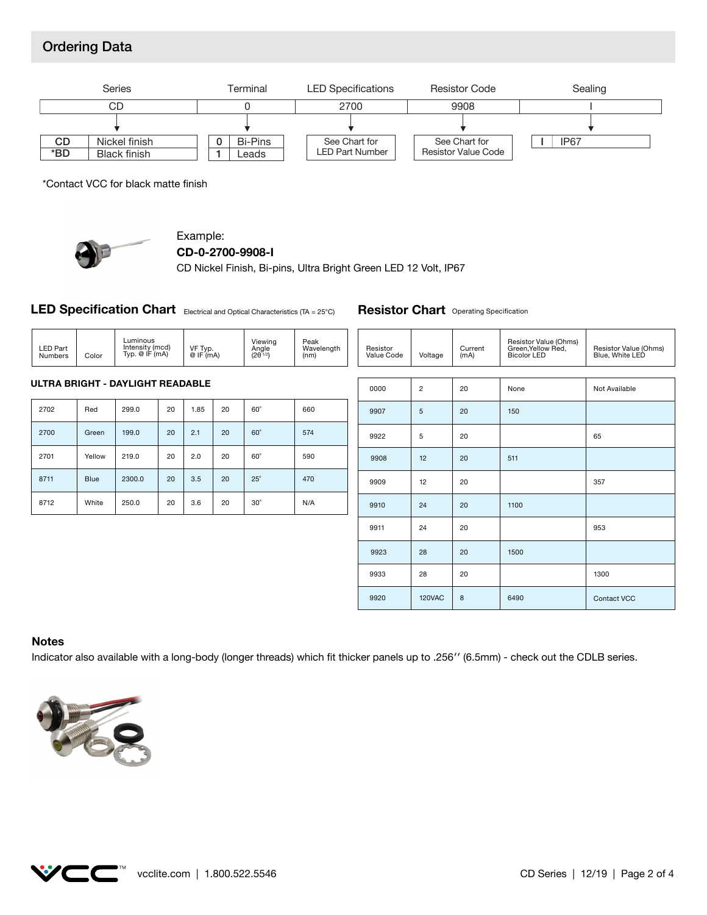# Ordering Data



\*Contact VCC for black matte finish



## Example:

```
CD-0-2700-9908-I
```
CD Nickel Finish, Bi-pins, Ultra Bright Green LED 12 Volt, IP67

**LED Specification Chart** Electrical and Optical Characteristics (TA = 25°C)

3.6

20

30˚

20

| <b>LED Part</b><br><b>Numbers</b> | Color       | Luminous<br>Intensity (mcd)<br>Typ. $@$ IF $(mA)$ |    | VF Typ.<br>@IF(mA) |    | Viewing<br>Angle<br>$(2\theta^{1/2})$ | Peak<br>Wavelength<br>(nm) | Resistor<br>Value Code | Voltage        | Current<br>(mA) | Resistor Value (Ohms)<br>Green,Yellow Red,<br><b>Bicolor LED</b> | Resistor Value (Ohms)<br>Blue, White LED |
|-----------------------------------|-------------|---------------------------------------------------|----|--------------------|----|---------------------------------------|----------------------------|------------------------|----------------|-----------------|------------------------------------------------------------------|------------------------------------------|
|                                   |             | ULTRA BRIGHT - DAYLIGHT READABLE                  |    |                    |    |                                       |                            |                        |                |                 |                                                                  |                                          |
|                                   |             |                                                   |    |                    |    |                                       |                            | 0000                   | $\overline{2}$ | 20              | None                                                             | Not Available                            |
| 2702                              | Red         | 299.0                                             | 20 | 1.85               | 20 | $60^\circ$                            | 660                        | 9907                   | 5              | 20              | 150                                                              |                                          |
| 2700                              | Green       | 199.0                                             | 20 | 2.1                | 20 | $60^\circ$                            | 574                        | 9922                   | 5              | 20              |                                                                  | 65                                       |
| 2701                              | Yellow      | 219.0                                             | 20 | 2.0                | 20 | $60^\circ$                            | 590                        | 9908                   | 12             | 20              | 511                                                              |                                          |
| 8711                              | <b>Blue</b> | 2300.0                                            | 20 | 3.5                | 20 | $25^\circ$                            | 470                        | 9909                   | 12             | 20              |                                                                  | 357                                      |

N/A

| 0000 | $\overline{c}$ | 20 | None | Not Available |
|------|----------------|----|------|---------------|
| 9907 | 5              | 20 | 150  |               |
| 9922 | 5              | 20 |      | 65            |
| 9908 | 12             | 20 | 511  |               |
| 9909 | 12             | 20 |      | 357           |
| 9910 | 24             | 20 | 1100 |               |
| 9911 | 24             | 20 |      | 953           |
| 9923 | 28             | 20 | 1500 |               |
| 9933 | 28             | 20 |      | 1300          |
| 9920 | 120VAC         | 8  | 6490 | Contact VCC   |

**Resistor Chart** Operating Specification

#### **Notes**

8712

Indicator also available with a long-body (longer threads) which fit thicker panels up to .256′′ (6.5mm) - check out the CDLB series.



White

250.0

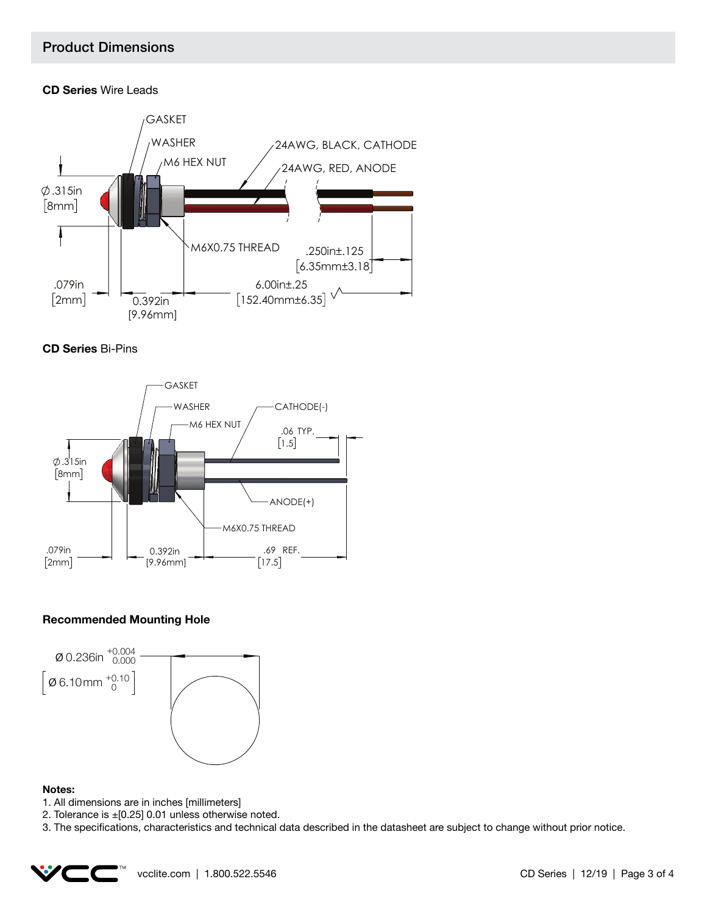## Product Dimensions

## **CD Series** Wire Leads







## **Recommended Mounting Hole**



#### **Notes:**

- 1. All dimensions are in inches [millimeters]
- 2. Tolerance is  $\pm$  [0.25] 0.01 unless otherwise noted.
- 3. The specifications, characteristics and technical data described in the datasheet are subject to change without prior notice.